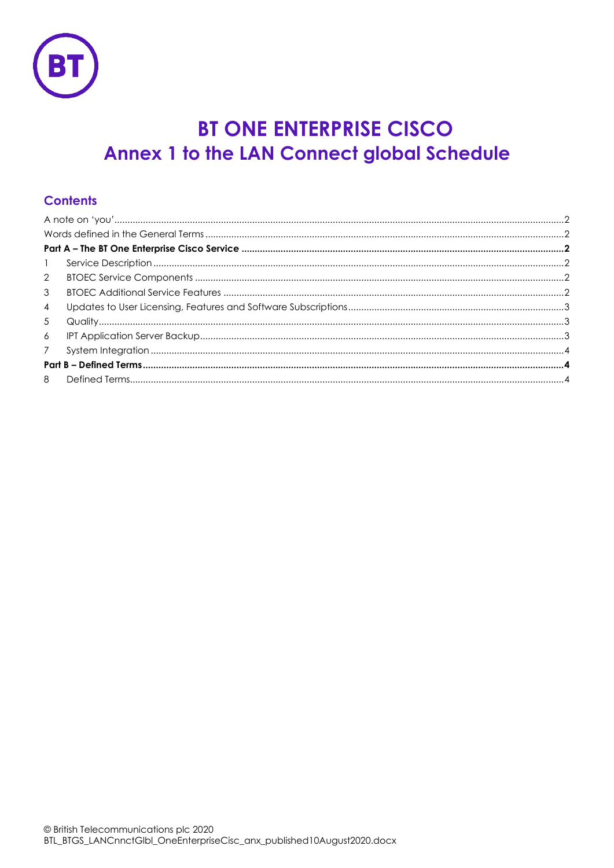

# **BT ONE ENTERPRISE CISCO Annex 1 to the LAN Connect global Schedule**

# **Contents**

| $\mathbf{1}$   |  |  |
|----------------|--|--|
| 2              |  |  |
| 3              |  |  |
| $\overline{4}$ |  |  |
| 5              |  |  |
| 6              |  |  |
|                |  |  |
|                |  |  |
| 8              |  |  |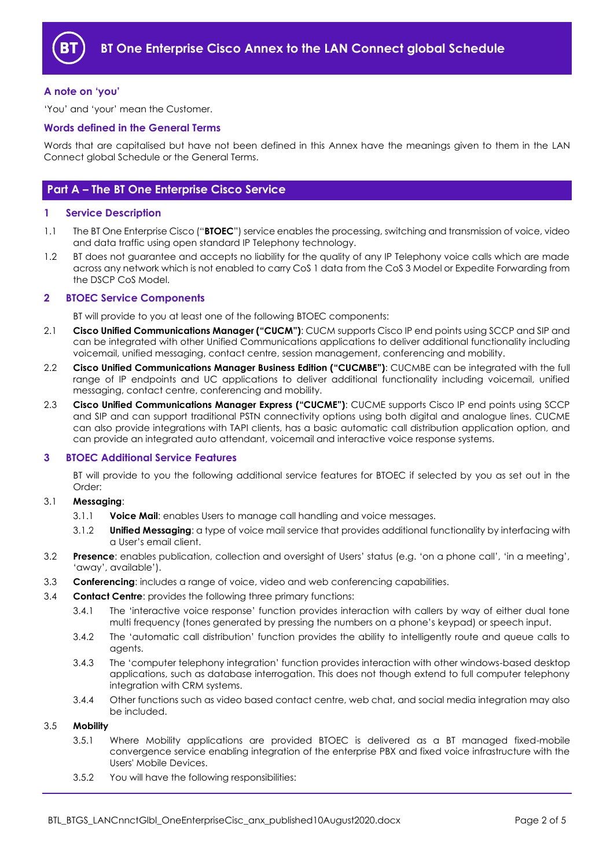

# <span id="page-1-0"></span>**A note on 'you'**

'You' and 'your' mean the Customer.

# <span id="page-1-1"></span>**Words defined in the General Terms**

Words that are capitalised but have not been defined in this Annex have the meanings given to them in the LAN Connect global Schedule or the General Terms.

# <span id="page-1-2"></span>**Part A – The BT One Enterprise Cisco Service**

# <span id="page-1-3"></span>**1 Service Description**

- <span id="page-1-6"></span>1.1 The BT One Enterprise Cisco ("**BTOEC**") service enables the processing, switching and transmission of voice, video and data traffic using open standard IP Telephony technology.
- 1.2 BT does not guarantee and accepts no liability for the quality of any IP Telephony voice calls which are made across any network which is not enabled to carry CoS 1 data from the CoS 3 Model or Expedite Forwarding from the DSCP CoS Model.

# <span id="page-1-4"></span>**2 BTOEC Service Components**

BT will provide to you at least one of the following BTOEC components:

- 2.1 **Cisco Unified Communications Manager ("CUCM")**: CUCM supports Cisco IP end points using SCCP and SIP and can be integrated with other Unified Communications applications to deliver additional functionality including voicemail, unified messaging, contact centre, session management, conferencing and mobility.
- 2.2 **Cisco Unified Communications Manager Business Edition ("CUCMBE")**: CUCMBE can be integrated with the full range of IP endpoints and UC applications to deliver additional functionality including voicemail, unified messaging, contact centre, conferencing and mobility.
- 2.3 **Cisco Unified Communications Manager Express ("CUCME")**: CUCME supports Cisco IP end points using SCCP and SIP and can support traditional PSTN connectivity options using both digital and analogue lines. CUCME can also provide integrations with TAPI clients, has a basic automatic call distribution application option, and can provide an integrated auto attendant, voicemail and interactive voice response systems.

# <span id="page-1-5"></span>**3 BTOEC Additional Service Features**

BT will provide to you the following additional service features for BTOEC if selected by you as set out in the Order:

# 3.1 **Messaging**:

- 3.1.1 **Voice Mail**: enables Users to manage call handling and voice messages.
- 3.1.2 **Unified Messaging**: a type of voice mail service that provides additional functionality by interfacing with a User's email client.
- 3.2 **Presence**: enables publication, collection and oversight of Users' status (e.g. 'on a phone call', 'in a meeting', 'away', available').
- 3.3 **Conferencing**: includes a range of voice, video and web conferencing capabilities.
- 3.4 **Contact Centre**: provides the following three primary functions:
	- 3.4.1 The 'interactive voice response' function provides interaction with callers by way of either dual tone multi frequency (tones generated by pressing the numbers on a phone's keypad) or speech input.
	- 3.4.2 The 'automatic call distribution' function provides the ability to intelligently route and queue calls to agents.
	- 3.4.3 The 'computer telephony integration' function provides interaction with other windows-based desktop applications, such as database interrogation. This does not though extend to full computer telephony integration with CRM systems.
	- 3.4.4 Other functions such as video based contact centre, web chat, and social media integration may also be included.

# 3.5 **Mobility**

- 3.5.1 Where Mobility applications are provided BTOEC is delivered as a BT managed fixed-mobile convergence service enabling integration of the enterprise PBX and fixed voice infrastructure with the Users' Mobile Devices.
- 3.5.2 You will have the following responsibilities: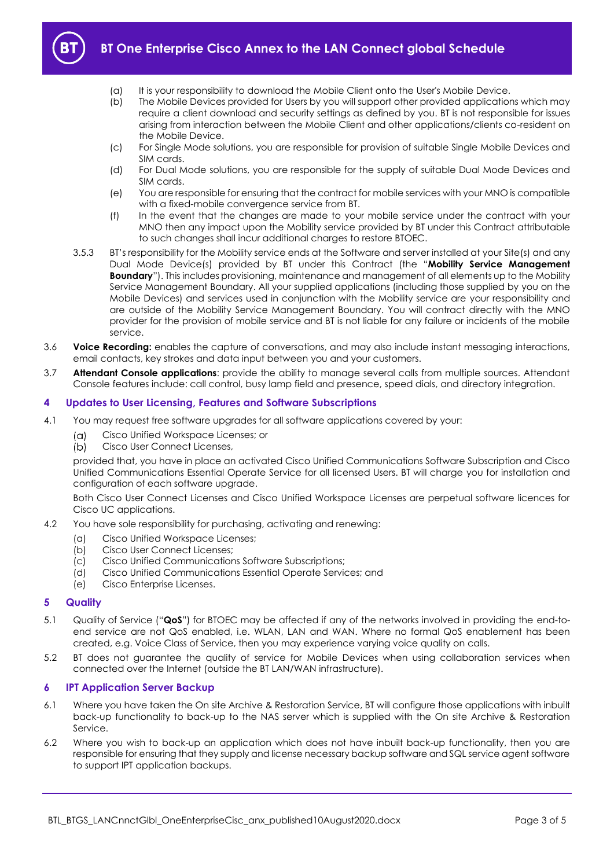

- (a) It is your responsibility to download the Mobile Client onto the User's Mobile Device.
- (b) The Mobile Devices provided for Users by you will support other provided applications which may require a client download and security settings as defined by you. BT is not responsible for issues arising from interaction between the Mobile Client and other applications/clients co-resident on the Mobile Device.
- (c) For Single Mode solutions, you are responsible for provision of suitable Single Mobile Devices and SIM cards.
- (d) For Dual Mode solutions, you are responsible for the supply of suitable Dual Mode Devices and SIM cards.
- (e) You are responsible for ensuring that the contract for mobile services with your MNO is compatible with a fixed-mobile convergence service from BT.
- (f) In the event that the changes are made to your mobile service under the contract with your MNO then any impact upon the Mobility service provided by BT under this Contract attributable to such changes shall incur additional charges to restore BTOEC.
- 3.5.3 BT's responsibility for the Mobility service ends at the Software and server installed at your Site(s) and any Dual Mode Device(s) provided by BT under this Contract (the "**Mobility Service Management Boundary**"). This includes provisioning, maintenance and management of all elements up to the Mobility Service Management Boundary. All your supplied applications (including those supplied by you on the Mobile Devices) and services used in conjunction with the Mobility service are your responsibility and are outside of the Mobility Service Management Boundary. You will contract directly with the MNO provider for the provision of mobile service and BT is not liable for any failure or incidents of the mobile service.
- 3.6 **Voice Recording:** enables the capture of conversations, and may also include instant messaging interactions, email contacts, key strokes and data input between you and your customers.
- 3.7 **Attendant Console applications**: provide the ability to manage several calls from multiple sources. Attendant Console features include: call control, busy lamp field and presence, speed dials, and directory integration.

# <span id="page-2-0"></span>**4 Updates to User Licensing, Features and Software Subscriptions**

- <span id="page-2-3"></span>4.1 You may request free software upgrades for all software applications covered by your:
	- Cisco Unified Workspace Licenses; or  $(\alpha)$
	- $(b)$ Cisco User Connect Licenses,

provided that, you have in place an activated Cisco Unified Communications Software Subscription and Cisco Unified Communications Essential Operate Service for all licensed Users. BT will charge you for installation and configuration of each software upgrade.

Both Cisco User Connect Licenses and Cisco Unified Workspace Licenses are perpetual software licences for Cisco UC applications.

- 4.2 You have sole responsibility for purchasing, activating and renewing:
	- (a) Cisco Unified Workspace Licenses;
	- (b) Cisco User Connect Licenses;
	- (c) Cisco Unified Communications Software Subscriptions;
	- (d) Cisco Unified Communications Essential Operate Services; and
	- (e) Cisco Enterprise Licenses.

# <span id="page-2-1"></span>**5 Quality**

- 5.1 Quality of Service ("**QoS**") for BTOEC may be affected if any of the networks involved in providing the end-toend service are not QoS enabled, i.e. WLAN, LAN and WAN. Where no formal QoS enablement has been created, e.g. Voice Class of Service, then you may experience varying voice quality on calls.
- 5.2 BT does not guarantee the quality of service for Mobile Devices when using collaboration services when connected over the Internet (outside the BT LAN/WAN infrastructure).

# <span id="page-2-2"></span>**6 IPT Application Server Backup**

- 6.1 Where you have taken the On site Archive & Restoration Service, BT will configure those applications with inbuilt back-up functionality to back-up to the NAS server which is supplied with the On site Archive & Restoration Service.
- 6.2 Where you wish to back-up an application which does not have inbuilt back-up functionality, then you are responsible for ensuring that they supply and license necessary backup software and SQL service agent software to support IPT application backups.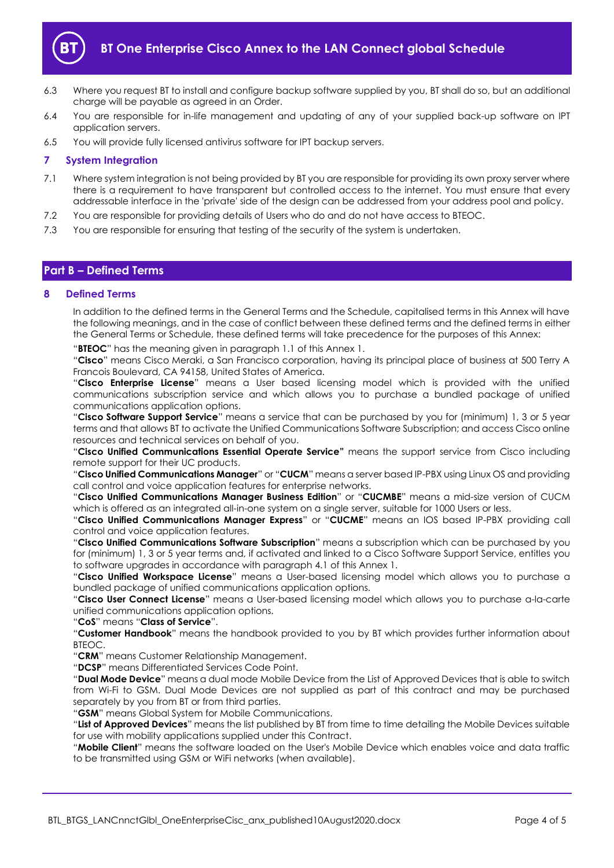

- 6.3 Where you request BT to install and configure backup software supplied by you, BT shall do so, but an additional charge will be payable as agreed in an Order.
- 6.4 You are responsible for in-life management and updating of any of your supplied back-up software on IPT application servers.
- 6.5 You will provide fully licensed antivirus software for IPT backup servers.

# <span id="page-3-0"></span>**7 System Integration**

- 7.1 Where system integration is not being provided by BT you are responsible for providing its own proxy server where there is a requirement to have transparent but controlled access to the internet. You must ensure that every addressable interface in the 'private' side of the design can be addressed from your address pool and policy.
- 7.2 You are responsible for providing details of Users who do and do not have access to BTEOC.
- 7.3 You are responsible for ensuring that testing of the security of the system is undertaken.

# <span id="page-3-1"></span>**Part B – Defined Terms**

# <span id="page-3-2"></span>**8 Defined Terms**

In addition to the defined terms in the General Terms and the Schedule, capitalised terms in this Annex will have the following meanings, and in the case of conflict between these defined terms and the defined terms in either the General Terms or Schedule, these defined terms will take precedence for the purposes of this Annex:

"**BTEOC**" has the meaning given in paragraph [1.1](#page-1-6) of this Annex 1.

"**Cisco**" means Cisco Meraki, a San Francisco corporation, having its principal place of business at 500 Terry A Francois Boulevard, CA 94158, United States of America.

"**Cisco Enterprise License**" means a User based licensing model which is provided with the unified communications subscription service and which allows you to purchase a bundled package of unified communications application options.

"**Cisco Software Support Service**" means a service that can be purchased by you for (minimum) 1, 3 or 5 year terms and that allows BT to activate the Unified Communications Software Subscription; and access Cisco online resources and technical services on behalf of you.

"**Cisco Unified Communications Essential Operate Service"** means the support service from Cisco including remote support for their UC products.

"**Cisco Unified Communications Manager**" or "**CUCM**" means a server based IP-PBX using Linux OS and providing call control and voice application features for enterprise networks.

"**Cisco Unified Communications Manager Business Edition**" or "**CUCMBE**" means a mid-size version of CUCM which is offered as an integrated all-in-one system on a single server, suitable for 1000 Users or less.

"**Cisco Unified Communications Manager Express**" or "**CUCME**" means an IOS based IP-PBX providing call control and voice application features.

"**Cisco Unified Communications Software Subscription**" means a subscription which can be purchased by you for (minimum) 1, 3 or 5 year terms and, if activated and linked to a Cisco Software Support Service, entitles you to software upgrades in accordance with paragraph [4.1](#page-2-3) of this Annex 1.

"**Cisco Unified Workspace License**" means a User-based licensing model which allows you to purchase a bundled package of unified communications application options.

"**Cisco User Connect License**" means a User-based licensing model which allows you to purchase a-la-carte unified communications application options.

"**CoS**" means "**Class of Service**".

"**Customer Handbook**" means the handbook provided to you by BT which provides further information about BTEOC.

"**CRM**" means Customer Relationship Management.

"**DCSP**" means Differentiated Services Code Point.

"**Dual Mode Device**" means a dual mode Mobile Device from the List of Approved Devices that is able to switch from Wi-Fi to GSM. Dual Mode Devices are not supplied as part of this contract and may be purchased separately by you from BT or from third parties.

"**GSM**" means Global System for Mobile Communications.

"**List of Approved Devices**" means the list published by BT from time to time detailing the Mobile Devices suitable for use with mobility applications supplied under this Contract.

"**Mobile Client**" means the software loaded on the User's Mobile Device which enables voice and data traffic to be transmitted using GSM or WiFi networks (when available).